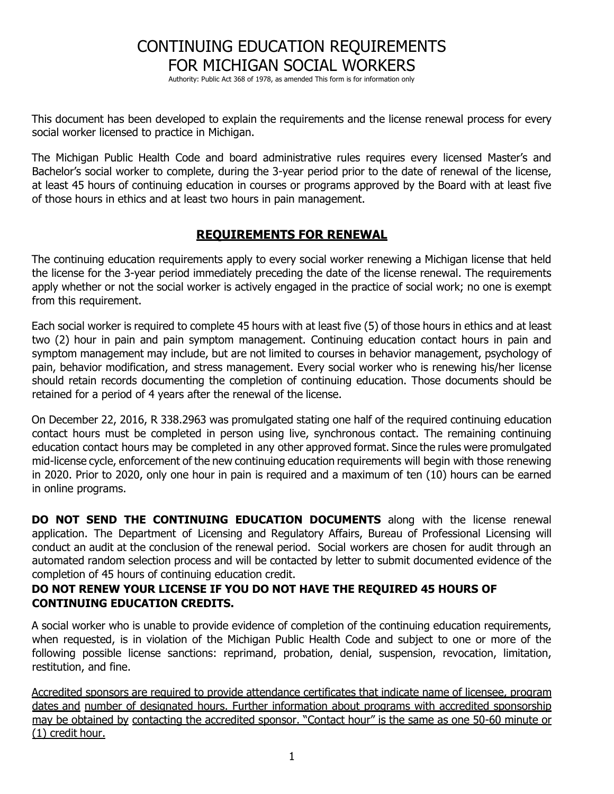# CONTINUING EDUCATION REQUIREMENTS FOR MICHIGAN SOCIAL WORKERS

Authority: Public Act 368 of 1978, as amended This form is for information only

This document has been developed to explain the requirements and the license renewal process for every social worker licensed to practice in Michigan.

The Michigan Public Health Code and board administrative rules requires every licensed Master's and Bachelor's social worker to complete, during the 3-year period prior to the date of renewal of the license, at least 45 hours of continuing education in courses or programs approved by the Board with at least five of those hours in ethics and at least two hours in pain management.

### **REQUIREMENTS FOR RENEWAL**

The continuing education requirements apply to every social worker renewing a Michigan license that held the license for the 3-year period immediately preceding the date of the license renewal. The requirements apply whether or not the social worker is actively engaged in the practice of social work; no one is exempt from this requirement.

Each social worker is required to complete 45 hours with at least five (5) of those hours in ethics and at least two (2) hour in pain and pain symptom management. Continuing education contact hours in pain and symptom management may include, but are not limited to courses in behavior management, psychology of pain, behavior modification, and stress management. Every social worker who is renewing his/her license should retain records documenting the completion of continuing education. Those documents should be retained for a period of 4 years after the renewal of the license.

On December 22, 2016, R 338.2963 was promulgated stating one half of the required continuing education contact hours must be completed in person using live, synchronous contact. The remaining continuing education contact hours may be completed in any other approved format. Since the rules were promulgated mid-license cycle, enforcement of the new continuing education requirements will begin with those renewing in 2020. Prior to 2020, only one hour in pain is required and a maximum of ten (10) hours can be earned in online programs.

**DO NOT SEND THE CONTINUING EDUCATION DOCUMENTS** along with the license renewal application. The Department of Licensing and Regulatory Affairs, Bureau of Professional Licensing will conduct an audit at the conclusion of the renewal period. Social workers are chosen for audit through an automated random selection process and will be contacted by letter to submit documented evidence of the completion of 45 hours of continuing education credit.

### **DO NOT RENEW YOUR LICENSE IF YOU DO NOT HAVE THE REQUIRED 45 HOURS OF CONTINUING EDUCATION CREDITS.**

A social worker who is unable to provide evidence of completion of the continuing education requirements, when requested, is in violation of the Michigan Public Health Code and subject to one or more of the following possible license sanctions: reprimand, probation, denial, suspension, revocation, limitation, restitution, and fine.

Accredited sponsors are required to provide attendance certificates that indicate name of licensee, program dates and number of designated hours. Further information about programs with accredited sponsorship may be obtained by contacting the accredited sponsor. "Contact hour" is the same as one 50-60 minute or (1) credit hour.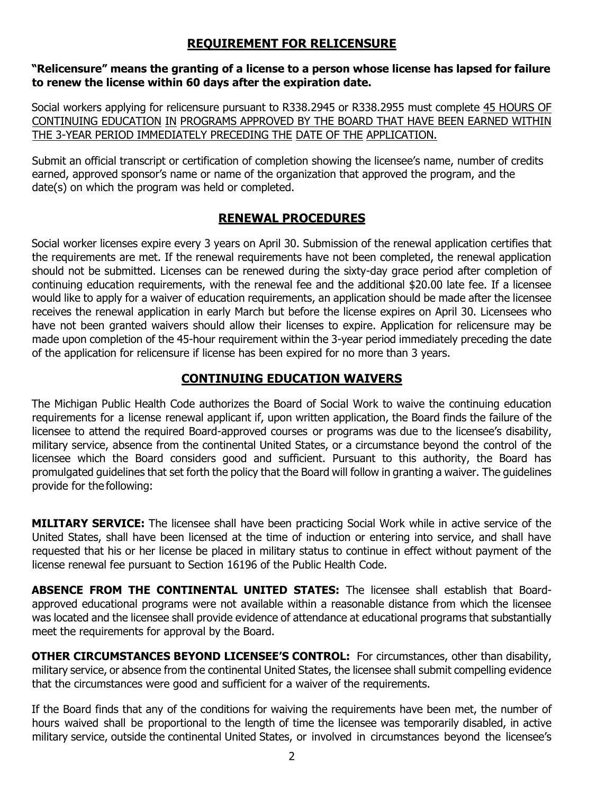# **REQUIREMENT FOR RELICENSURE**

#### **"Relicensure" means the granting of a license to a person whose license has lapsed for failure to renew the license within 60 days after the expiration date.**

Social workers applying for relicensure pursuant to R338.2945 or R338.2955 must complete 45 HOURS OF CONTINUING EDUCATION IN PROGRAMS APPROVED BY THE BOARD THAT HAVE BEEN EARNED WITHIN THE 3-YEAR PERIOD IMMEDIATELY PRECEDING THE DATE OF THE APPLICATION.

Submit an official transcript or certification of completion showing the licensee's name, number of credits earned, approved sponsor's name or name of the organization that approved the program, and the date(s) on which the program was held or completed.

### **RENEWAL PROCEDURES**

Social worker licenses expire every 3 years on April 30. Submission of the renewal application certifies that the requirements are met. If the renewal requirements have not been completed, the renewal application should not be submitted. Licenses can be renewed during the sixty-day grace period after completion of continuing education requirements, with the renewal fee and the additional \$20.00 late fee. If a licensee would like to apply for a waiver of education requirements, an application should be made after the licensee receives the renewal application in early March but before the license expires on April 30. Licensees who have not been granted waivers should allow their licenses to expire. Application for relicensure may be made upon completion of the 45-hour requirement within the 3-year period immediately preceding the date of the application for relicensure if license has been expired for no more than 3 years.

## **CONTINUING EDUCATION WAIVERS**

The Michigan Public Health Code authorizes the Board of Social Work to waive the continuing education requirements for a license renewal applicant if, upon written application, the Board finds the failure of the licensee to attend the required Board-approved courses or programs was due to the licensee's disability, military service, absence from the continental United States, or a circumstance beyond the control of the licensee which the Board considers good and sufficient. Pursuant to this authority, the Board has promulgated guidelines that set forth the policy that the Board will follow in granting a waiver. The guidelines provide for the following:

**MILITARY SERVICE:** The licensee shall have been practicing Social Work while in active service of the United States, shall have been licensed at the time of induction or entering into service, and shall have requested that his or her license be placed in military status to continue in effect without payment of the license renewal fee pursuant to Section 16196 of the Public Health Code.

**ABSENCE FROM THE CONTINENTAL UNITED STATES:** The licensee shall establish that Boardapproved educational programs were not available within a reasonable distance from which the licensee was located and the licensee shall provide evidence of attendance at educational programs that substantially meet the requirements for approval by the Board.

**OTHER CIRCUMSTANCES BEYOND LICENSEE'S CONTROL:** For circumstances, other than disability, military service, or absence from the continental United States, the licensee shall submit compelling evidence that the circumstances were good and sufficient for a waiver of the requirements.

If the Board finds that any of the conditions for waiving the requirements have been met, the number of hours waived shall be proportional to the length of time the licensee was temporarily disabled, in active military service, outside the continental United States, or involved in circumstances beyond the licensee's